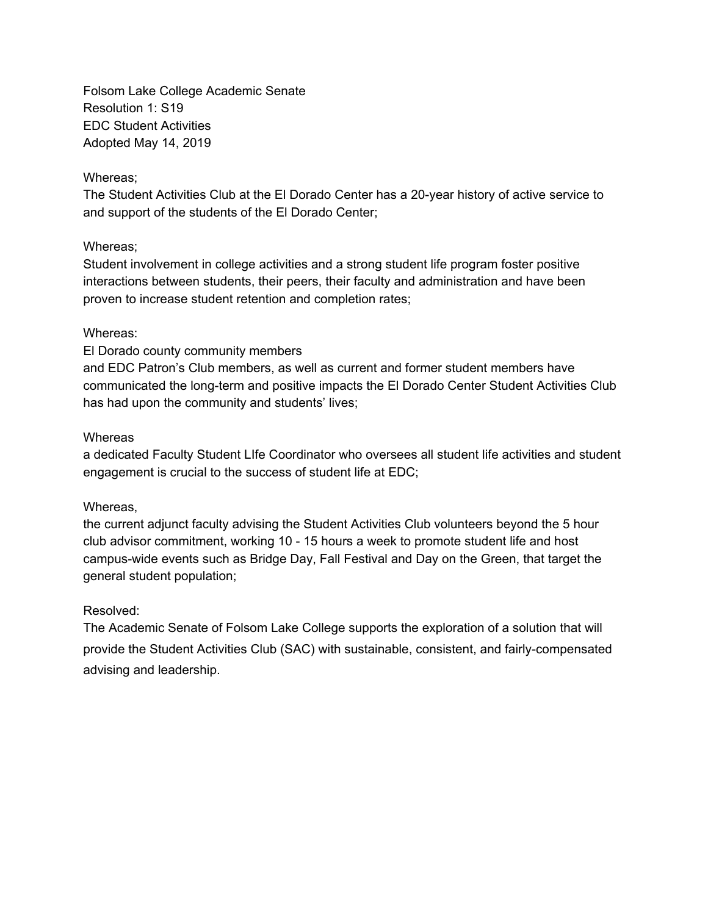Folsom Lake College Academic Senate Resolution 1: S19 EDC Student Activities Adopted May 14, 2019

### Whereas;

The Student Activities Club at the El Dorado Center has a 20-year history of active service to and support of the students of the El Dorado Center;

## Whereas;

Student involvement in college activities and a strong student life program foster positive interactions between students, their peers, their faculty and administration and have been proven to increase student retention and completion rates;

## Whereas:

## El Dorado county community members

and EDC Patron's Club members, as well as current and former student members have communicated the long-term and positive impacts the El Dorado Center Student Activities Club has had upon the community and students' lives;

## **Whereas**

a dedicated Faculty Student LIfe Coordinator who oversees all student life activities and student engagement is crucial to the success of student life at EDC;

# Whereas,

the current adjunct faculty advising the Student Activities Club volunteers beyond the 5 hour club advisor commitment, working 10 - 15 hours a week to promote student life and host campus-wide events such as Bridge Day, Fall Festival and Day on the Green, that target the general student population;

# Resolved:

The Academic Senate of Folsom Lake College supports the exploration of a solution that will provide the Student Activities Club (SAC) with sustainable, consistent, and fairly-compensated advising and leadership.